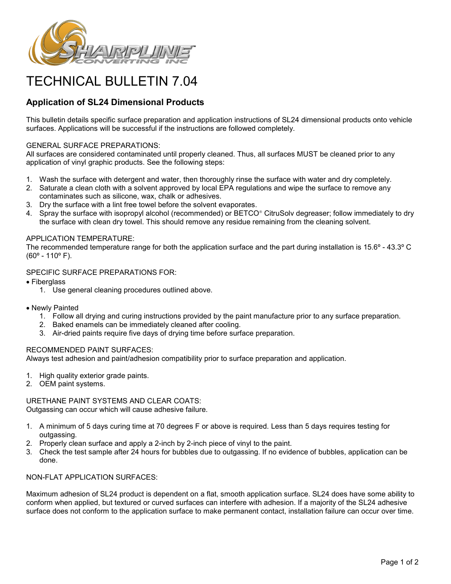

# TECHNICAL BULLETIN 7.04

# **Application of SL24 Dimensional Products**

This bulletin details specific surface preparation and application instructions of SL24 dimensional products onto vehicle surfaces. Applications will be successful if the instructions are followed completely.

#### GENERAL SURFACE PREPARATIONS:

All surfaces are considered contaminated until properly cleaned. Thus, all surfaces MUST be cleaned prior to any application of vinyl graphic products. See the following steps:

- 1. Wash the surface with detergent and water, then thoroughly rinse the surface with water and dry completely.
- 2. Saturate a clean cloth with a solvent approved by local EPA regulations and wipe the surface to remove any contaminates such as silicone, wax, chalk or adhesives.
- 3. Dry the surface with a lint free towel before the solvent evaporates.
- 4. Spray the surface with isopropyl alcohol (recommended) or BETCO<sup>®</sup> CitruSolv degreaser; follow immediately to dry the surface with clean dry towel. This should remove any residue remaining from the cleaning solvent.

## APPLICATION TEMPERATURE:

The recommended temperature range for both the application surface and the part during installation is 15.6º - 43.3º C (60º - 110º F).

## SPECIFIC SURFACE PREPARATIONS FOR:

• Fiberglass

- 1. Use general cleaning procedures outlined above.
- Newly Painted
	- 1. Follow all drying and curing instructions provided by the paint manufacture prior to any surface preparation.
	- 2. Baked enamels can be immediately cleaned after cooling.
	- 3. Air-dried paints require five days of drying time before surface preparation.

# RECOMMENDED PAINT SURFACES:

Always test adhesion and paint/adhesion compatibility prior to surface preparation and application.

- 1. High quality exterior grade paints.
- 2. OEM paint systems.

URETHANE PAINT SYSTEMS AND CLEAR COATS: Outgassing can occur which will cause adhesive failure.

- 1. A minimum of 5 days curing time at 70 degrees F or above is required. Less than 5 days requires testing for outgassing.
- 2. Properly clean surface and apply a 2-inch by 2-inch piece of vinyl to the paint.
- 3. Check the test sample after 24 hours for bubbles due to outgassing. If no evidence of bubbles, application can be done.

#### NON-FLAT APPLICATION SURFACES:

Maximum adhesion of SL24 product is dependent on a flat, smooth application surface. SL24 does have some ability to conform when applied, but textured or curved surfaces can interfere with adhesion. If a majority of the SL24 adhesive surface does not conform to the application surface to make permanent contact, installation failure can occur over time.